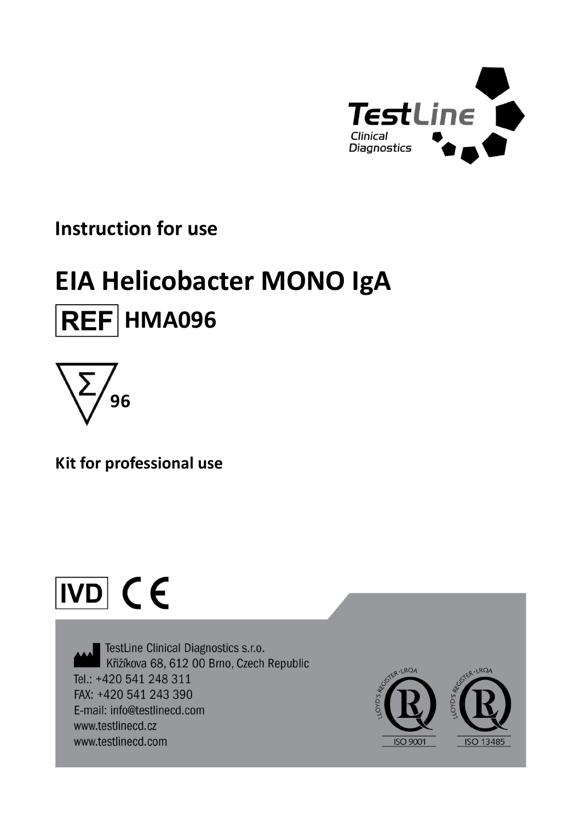

# **Instruction for use**

# **EIA Helicobacter MONO IgA REF HMA096**



**Kit for professional use**

# $\overline{ND}$  (E

TestLine Clinical Diagnostics s.r.o. Křižíkova 68, 612 00 Brno, Czech Republic Tel.: +420 541 248 311 FAX: +420 541 243 390 E-mail: info@testlinecd.com www.testlinecd.cz www.testlinecd.com

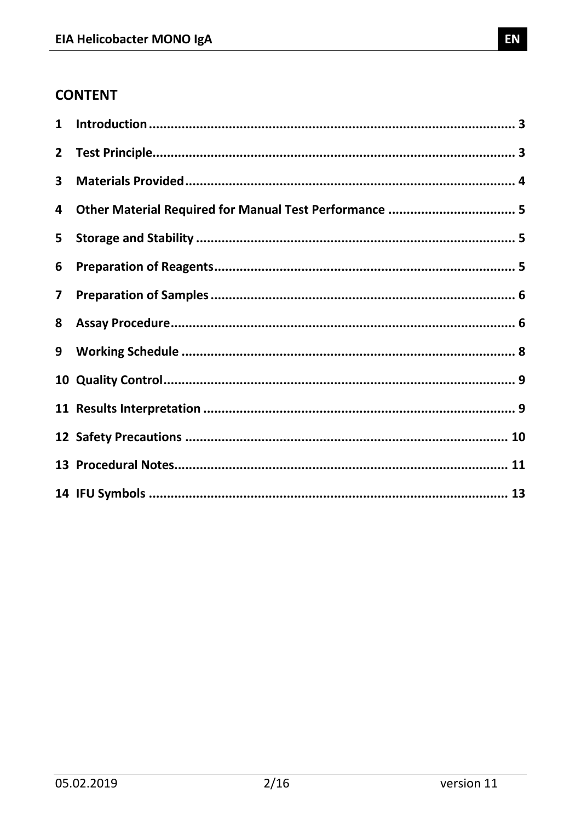# **CONTENT**

| $\mathbf{1}$            |                                                        |  |
|-------------------------|--------------------------------------------------------|--|
| $\overline{2}$          |                                                        |  |
| 3                       |                                                        |  |
| 4                       | Other Material Required for Manual Test Performance  5 |  |
| 5                       |                                                        |  |
| 6                       |                                                        |  |
| $\overline{\mathbf{z}}$ |                                                        |  |
| 8                       |                                                        |  |
| 9                       |                                                        |  |
|                         |                                                        |  |
|                         |                                                        |  |
|                         |                                                        |  |
|                         |                                                        |  |
|                         |                                                        |  |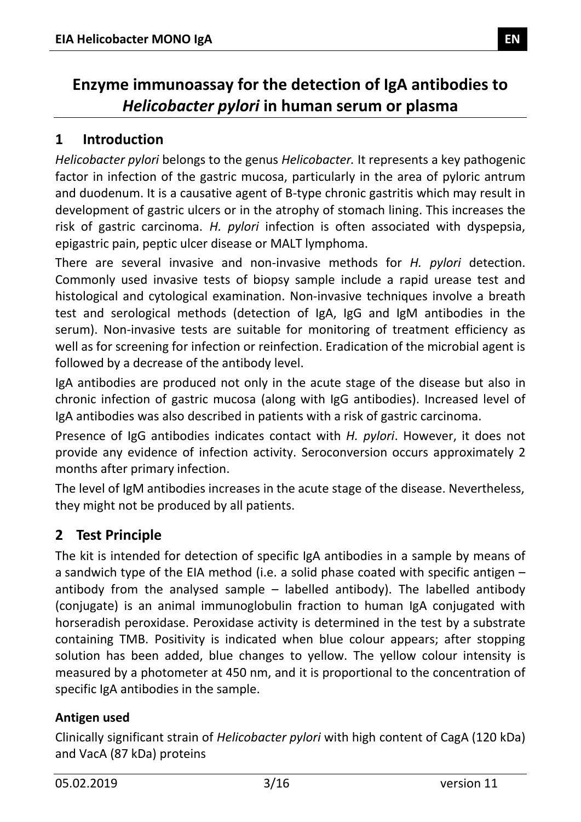# **Enzyme immunoassay for the detection of IgA antibodies to**  *Helicobacter pylori* **in human serum or plasma**

# <span id="page-2-0"></span>**1 Introduction**

*Helicobacter pylori* belongs to the genus *Helicobacter.* It represents a key pathogenic factor in infection of the gastric mucosa, particularly in the area of pyloric antrum and duodenum. It is a causative agent of B-type chronic gastritis which may result in development of gastric ulcers or in the atrophy of stomach lining. This increases the risk of gastric carcinoma. *H. pylori* infection is often associated with dyspepsia, epigastric pain, peptic ulcer disease or MALT lymphoma.

There are several invasive and non-invasive methods for *H. pylori* detection. Commonly used invasive tests of biopsy sample include a rapid urease test and histological and cytological examination. Non-invasive techniques involve a breath test and serological methods (detection of IgA, IgG and IgM antibodies in the serum). Non-invasive tests are suitable for monitoring of treatment efficiency as well as for screening for infection or reinfection. Eradication of the microbial agent is followed by a decrease of the antibody level.

IgA antibodies are produced not only in the acute stage of the disease but also in chronic infection of gastric mucosa (along with IgG antibodies). Increased level of IgA antibodies was also described in patients with a risk of gastric carcinoma.

Presence of IgG antibodies indicates contact with *H. pylori*. However, it does not provide any evidence of infection activity. Seroconversion occurs approximately 2 months after primary infection.

The level of IgM antibodies increases in the acute stage of the disease. Nevertheless, they might not be produced by all patients.

# <span id="page-2-1"></span>**2 Test Principle**

The kit is intended for detection of specific IgA antibodies in a sample by means of a sandwich type of the EIA method (i.e. a solid phase coated with specific antigen – antibody from the analysed sample  $-$  labelled antibody). The labelled antibody (conjugate) is an animal immunoglobulin fraction to human IgA conjugated with horseradish peroxidase. Peroxidase activity is determined in the test by a substrate containing TMB. Positivity is indicated when blue colour appears; after stopping solution has been added, blue changes to yellow. The yellow colour intensity is measured by a photometer at 450 nm, and it is proportional to the concentration of specific IgA antibodies in the sample.

#### **Antigen used**

Clinically significant strain of *Helicobacter pylori* with high content of CagA (120 kDa) and VacA (87 kDa) proteins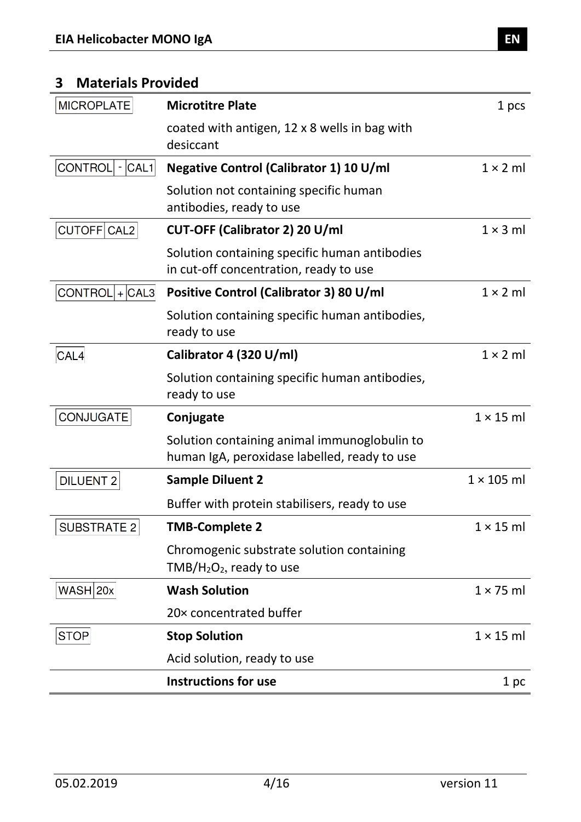#### <span id="page-3-0"></span>**3 Materials Provided**

| <b>MICROPLATE</b>     | <b>Microtitre Plate</b>                                                                      | 1 pcs             |
|-----------------------|----------------------------------------------------------------------------------------------|-------------------|
|                       | coated with antigen, 12 x 8 wells in bag with<br>desiccant                                   |                   |
| CONTROL<br>$- CAL1 $  | Negative Control (Calibrator 1) 10 U/ml                                                      | $1 \times 2$ ml   |
|                       | Solution not containing specific human<br>antibodies, ready to use                           |                   |
| CUTOFF CAL2           | CUT-OFF (Calibrator 2) 20 U/ml                                                               | $1 \times 3$ ml   |
|                       | Solution containing specific human antibodies<br>in cut-off concentration, ready to use      |                   |
| $CONTROL   +   CAL3 $ | Positive Control (Calibrator 3) 80 U/ml                                                      | $1 \times 2$ ml   |
|                       | Solution containing specific human antibodies,<br>ready to use                               |                   |
| CAL4                  | Calibrator 4 (320 U/ml)                                                                      | $1 \times 2$ ml   |
|                       | Solution containing specific human antibodies,<br>ready to use                               |                   |
| CONJUGATE             | Conjugate                                                                                    | $1 \times 15$ ml  |
|                       | Solution containing animal immunoglobulin to<br>human IgA, peroxidase labelled, ready to use |                   |
| <b>DILUENT 2</b>      | <b>Sample Diluent 2</b>                                                                      | $1 \times 105$ ml |
|                       | Buffer with protein stabilisers, ready to use                                                |                   |
| <b>SUBSTRATE 2</b>    | <b>TMB-Complete 2</b>                                                                        | $1 \times 15$ ml  |
|                       | Chromogenic substrate solution containing<br>$TMB/H2O2$ , ready to use                       |                   |
| WASH 20x              | <b>Wash Solution</b>                                                                         | $1 \times 75$ ml  |
|                       | 20x concentrated buffer                                                                      |                   |
| <b>STOP</b>           | <b>Stop Solution</b>                                                                         | $1 \times 15$ ml  |
|                       | Acid solution, ready to use                                                                  |                   |
|                       | <b>Instructions for use</b>                                                                  | 1 pc              |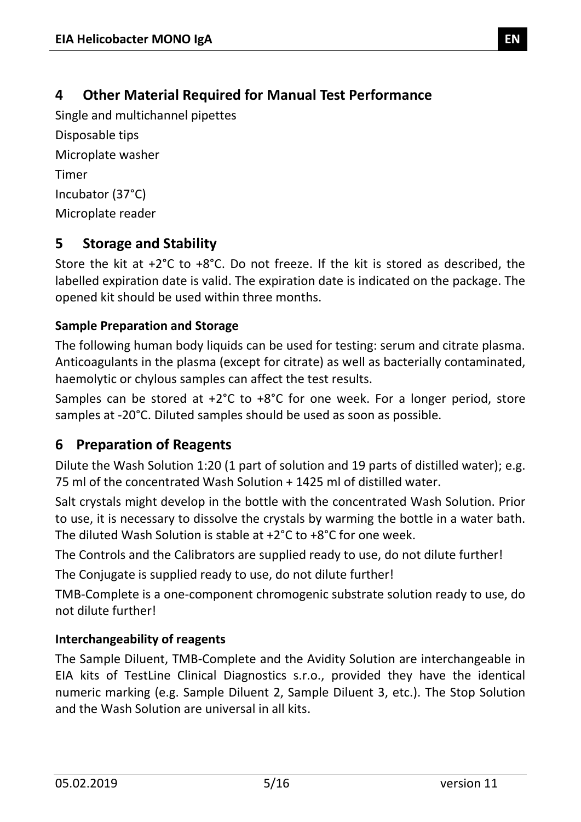<span id="page-4-0"></span>Single and multichannel pipettes Disposable tips Microplate washer Timer Incubator (37°C) Microplate reader

# <span id="page-4-1"></span>**5 Storage and Stability**

Store the kit at +2°C to +8°C. Do not freeze. If the kit is stored as described, the labelled expiration date is valid. The expiration date is indicated on the package. The opened kit should be used within three months.

#### **Sample Preparation and Storage**

The following human body liquids can be used for testing: serum and citrate plasma. Anticoagulants in the plasma (except for citrate) as well as bacterially contaminated, haemolytic or chylous samples can affect the test results.

Samples can be stored at +2°C to +8°C for one week. For a longer period, store samples at -20°C. Diluted samples should be used as soon as possible.

# <span id="page-4-2"></span>**6 Preparation of Reagents**

Dilute the Wash Solution 1:20 (1 part of solution and 19 parts of distilled water); e.g. 75 ml of the concentrated Wash Solution + 1425 ml of distilled water.

Salt crystals might develop in the bottle with the concentrated Wash Solution. Prior to use, it is necessary to dissolve the crystals by warming the bottle in a water bath. The diluted Wash Solution is stable at +2°C to +8°C for one week.

The Controls and the Calibrators are supplied ready to use, do not dilute further!

The Conjugate is supplied ready to use, do not dilute further!

TMB-Complete is a one-component chromogenic substrate solution ready to use, do not dilute further!

#### **Interchangeability of reagents**

The Sample Diluent, TMB-Complete and the Avidity Solution are interchangeable in EIA kits of TestLine Clinical Diagnostics s.r.o., provided they have the identical numeric marking (e.g. Sample Diluent 2, Sample Diluent 3, etc.). The Stop Solution and the Wash Solution are universal in all kits.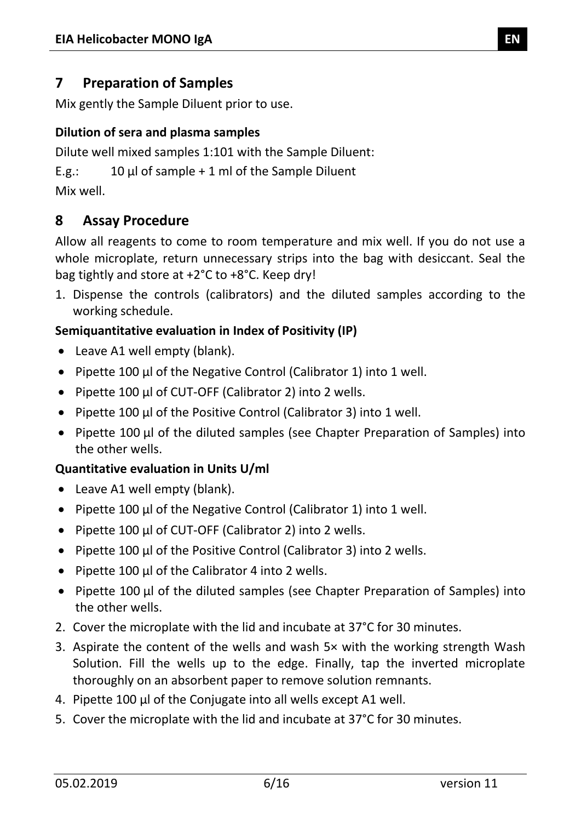#### <span id="page-5-0"></span>**7 Preparation of Samples**

Mix gently the Sample Diluent prior to use.

#### **Dilution of sera and plasma samples**

Dilute well mixed samples 1:101 with the Sample Diluent:

E.g.:  $10 \mu l$  of sample + 1 ml of the Sample Diluent

Mix well.

#### <span id="page-5-1"></span>**8 Assay Procedure**

Allow all reagents to come to room temperature and mix well. If you do not use a whole microplate, return unnecessary strips into the bag with desiccant. Seal the bag tightly and store at +2°C to +8°C. Keep dry!

1. Dispense the controls (calibrators) and the diluted samples according to the working schedule.

#### **Semiquantitative evaluation in Index of Positivity (IP)**

- Leave A1 well empty (blank).
- Pipette 100 µl of the Negative Control (Calibrator 1) into 1 well.
- Pipette 100 µl of CUT-OFF (Calibrator 2) into 2 wells.
- Pipette 100 µl of the Positive Control (Calibrator 3) into 1 well.
- Pipette 100 µl of the diluted samples (see Chapter Preparation of Samples) into the other wells.

#### **Quantitative evaluation in Units U/ml**

- Leave A1 well empty (blank).
- Pipette 100 µl of the Negative Control (Calibrator 1) into 1 well.
- Pipette 100 µl of CUT-OFF (Calibrator 2) into 2 wells.
- Pipette 100 µl of the Positive Control (Calibrator 3) into 2 wells.
- Pipette 100 µl of the Calibrator 4 into 2 wells.
- Pipette 100 µl of the diluted samples (see Chapter Preparation of Samples) into the other wells.
- 2. Cover the microplate with the lid and incubate at 37°C for 30 minutes.
- 3. Aspirate the content of the wells and wash 5× with the working strength Wash Solution. Fill the wells up to the edge. Finally, tap the inverted microplate thoroughly on an absorbent paper to remove solution remnants.
- 4. Pipette 100 µl of the Conjugate into all wells except A1 well.
- 5. Cover the microplate with the lid and incubate at 37°C for 30 minutes.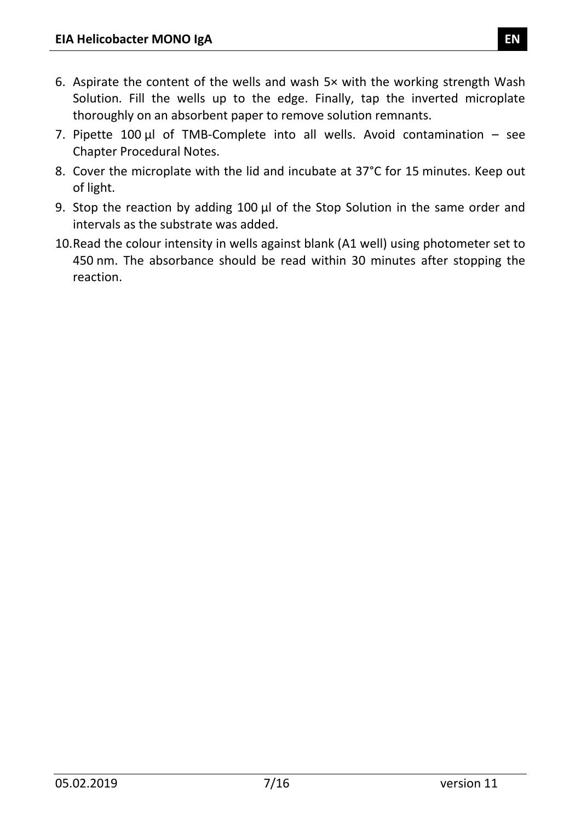- 6. Aspirate the content of the wells and wash 5× with the working strength Wash Solution. Fill the wells up to the edge. Finally, tap the inverted microplate thoroughly on an absorbent paper to remove solution remnants.
- 7. Pipette  $100 \mu l$  of TMB-Complete into all wells. Avoid contamination see Chapter Procedural Notes.
- 8. Cover the microplate with the lid and incubate at 37°C for 15 minutes. Keep out of light.
- 9. Stop the reaction by adding 100 µl of the Stop Solution in the same order and intervals as the substrate was added.
- 10.Read the colour intensity in wells against blank (A1 well) using photometer set to 450 nm. The absorbance should be read within 30 minutes after stopping the reaction.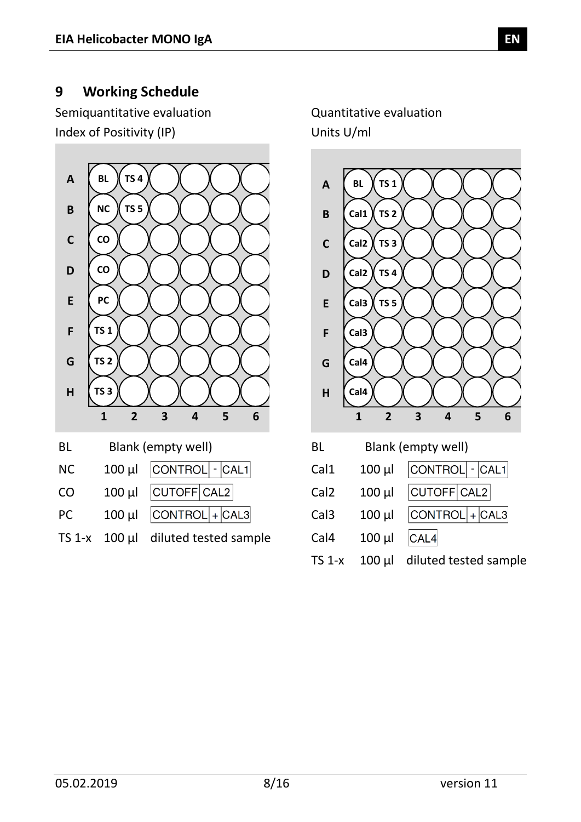#### <span id="page-7-0"></span>**9 Working Schedule**

Semiquantitative evaluation Quantitative evaluation Index of Positivity (IP) Units U/ml



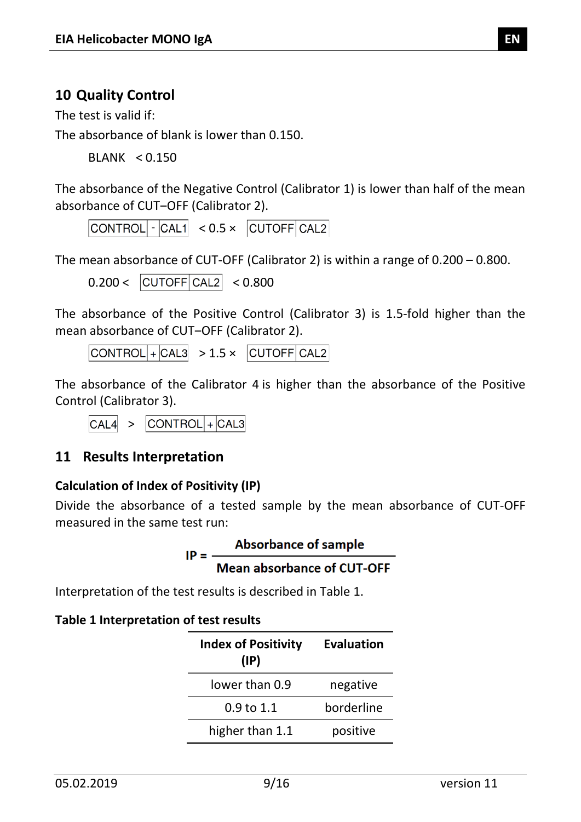#### <span id="page-8-0"></span>**10 Quality Control**

The test is valid if:

The absorbance of blank is lower than 0.150.

BLANK < 0.150

The absorbance of the Negative Control (Calibrator 1) is lower than half of the mean absorbance of CUT-OFF (Calibrator 2).

 $|CONTROL|$   $\cdot$   $|CAL1|$   $< 0.5 \times$   $|CUTOFF|CAL2|$ 

The mean absorbance of CUT-OFF (Calibrator 2) is within a range of 0.200 – 0.800.

 $0.200 < |CUTOFF|CAL2| < 0.800$ 

The absorbance of the Positive Control (Calibrator 3) is 1.5-fold higher than the mean absorbance of CUT-OFF (Calibrator 2).

 $|CONTROL|$ + $|CAL3|$  > 1.5 ×  $|CUTOFF|CAL2|$ 

The absorbance of the Calibrator 4 is higher than the absorbance of the Positive Control (Calibrator 3).

 $\overline{CAL4}$  >  $\overline{CONTROL}$  +  $\overline{CAL3}$ 

#### <span id="page-8-1"></span>**11 Results Interpretation**

#### **Calculation of Index of Positivity (IP)**

Divide the absorbance of a tested sample by the mean absorbance of CUT-OFF measured in the same test run:

| $IP =$ | <b>Absorbance of sample</b>       |
|--------|-----------------------------------|
|        | <b>Mean absorbance of CUT-OFF</b> |

Interpretation of the test results is described in [Table 1.](#page-8-2)

#### <span id="page-8-2"></span>**Table 1 Interpretation of test results**

| <b>Index of Positivity</b><br>$(\mathsf{IP})$ | <b>Evaluation</b> |
|-----------------------------------------------|-------------------|
| lower than 0.9                                | negative          |
| 0.9 to 1.1                                    | borderline        |
| higher than 1.1                               | positive          |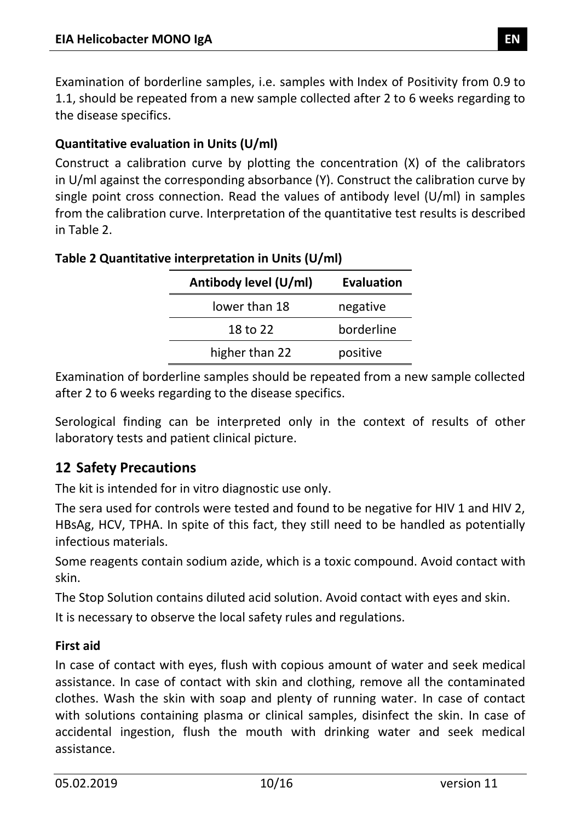Examination of borderline samples, i.e. samples with Index of Positivity from 0.9 to 1.1, should be repeated from a new sample collected after 2 to 6 weeks regarding to the disease specifics.

#### **Quantitative evaluation in Units (U/ml)**

Construct a calibration curve by plotting the concentration (X) of the calibrators in U/ml against the corresponding absorbance (Y). Construct the calibration curve by single point cross connection. Read the values of antibody level (U/ml) in samples from the calibration curve. Interpretation of the quantitative test results is described in [Table 2.](#page-9-1)

| Antibody level (U/ml) | <b>Evaluation</b> |
|-----------------------|-------------------|
| lower than 18         | negative          |
| 18 to 22              | borderline        |
| higher than 22        | positive          |

#### <span id="page-9-1"></span>**Table 2 Quantitative interpretation in Units (U/ml)**

Examination of borderline samples should be repeated from a new sample collected after 2 to 6 weeks regarding to the disease specifics.

Serological finding can be interpreted only in the context of results of other laboratory tests and patient clinical picture.

#### <span id="page-9-0"></span>**12 Safety Precautions**

The kit is intended for in vitro diagnostic use only.

The sera used for controls were tested and found to be negative for HIV 1 and HIV 2, HBsAg, HCV, TPHA. In spite of this fact, they still need to be handled as potentially infectious materials.

Some reagents contain sodium azide, which is a toxic compound. Avoid contact with skin.

The Stop Solution contains diluted acid solution. Avoid contact with eyes and skin.

It is necessary to observe the local safety rules and regulations.

#### **First aid**

In case of contact with eyes, flush with copious amount of water and seek medical assistance. In case of contact with skin and clothing, remove all the contaminated clothes. Wash the skin with soap and plenty of running water. In case of contact with solutions containing plasma or clinical samples, disinfect the skin. In case of accidental ingestion, flush the mouth with drinking water and seek medical assistance.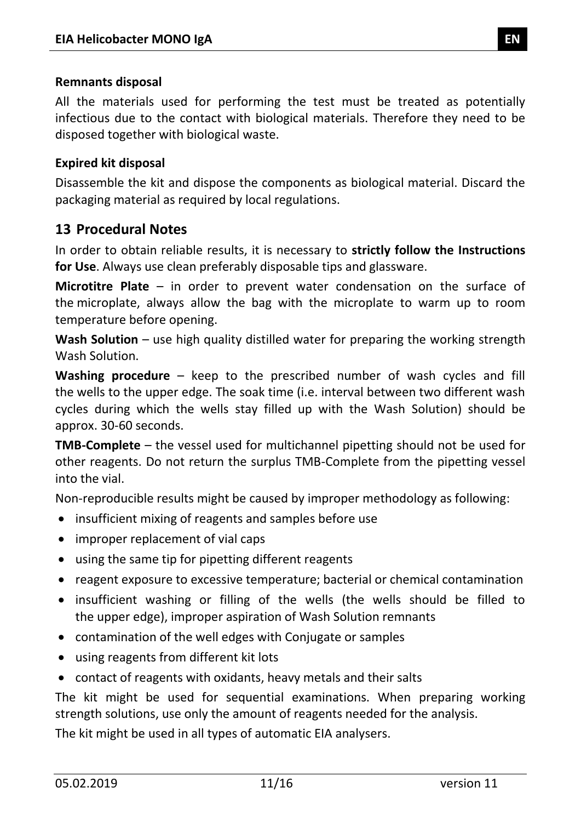#### **Remnants disposal**

All the materials used for performing the test must be treated as potentially infectious due to the contact with biological materials. Therefore they need to be disposed together with biological waste.

#### **Expired kit disposal**

Disassemble the kit and dispose the components as biological material. Discard the packaging material as required by local regulations.

#### <span id="page-10-0"></span>**13 Procedural Notes**

In order to obtain reliable results, it is necessary to **strictly follow the Instructions for Use**. Always use clean preferably disposable tips and glassware.

**Microtitre Plate** – in order to prevent water condensation on the surface of the microplate, always allow the bag with the microplate to warm up to room temperature before opening.

**Wash Solution** – use high quality distilled water for preparing the working strength Wash Solution.

**Washing procedure** – keep to the prescribed number of wash cycles and fill the wells to the upper edge. The soak time (i.e. interval between two different wash cycles during which the wells stay filled up with the Wash Solution) should be approx. 30-60 seconds.

**TMB-Complete** – the vessel used for multichannel pipetting should not be used for other reagents. Do not return the surplus TMB-Complete from the pipetting vessel into the vial.

Non-reproducible results might be caused by improper methodology as following:

- insufficient mixing of reagents and samples before use
- improper replacement of vial caps
- using the same tip for pipetting different reagents
- reagent exposure to excessive temperature; bacterial or chemical contamination
- insufficient washing or filling of the wells (the wells should be filled to the upper edge), improper aspiration of Wash Solution remnants
- contamination of the well edges with Conjugate or samples
- using reagents from different kit lots
- contact of reagents with oxidants, heavy metals and their salts

The kit might be used for sequential examinations. When preparing working strength solutions, use only the amount of reagents needed for the analysis.

The kit might be used in all types of automatic EIA analysers.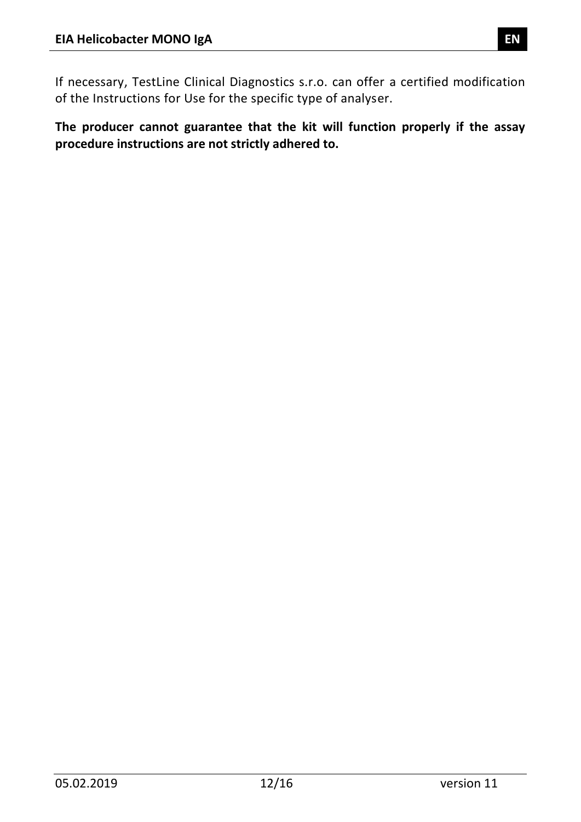If necessary, TestLine Clinical Diagnostics s.r.o. can offer a certified modification of the Instructions for Use for the specific type of analyser.

**The producer cannot guarantee that the kit will function properly if the assay procedure instructions are not strictly adhered to.**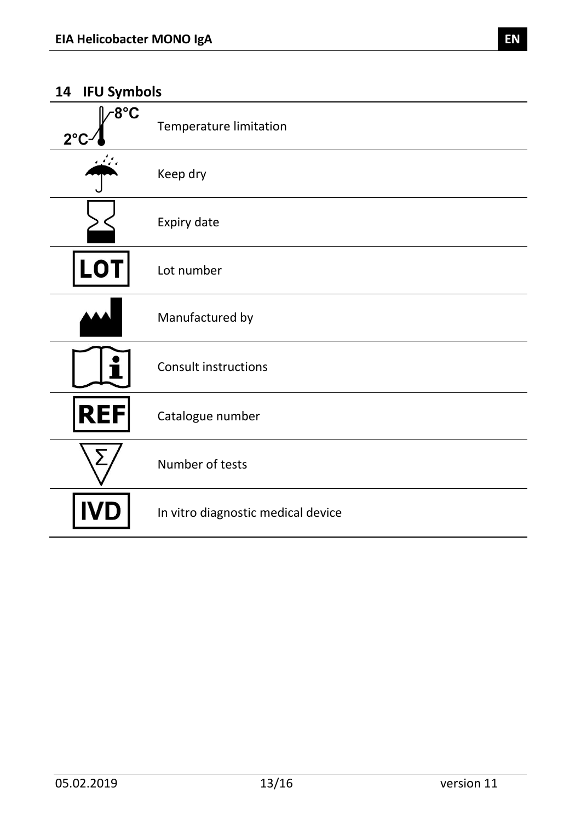#### <span id="page-12-0"></span>**14 IFU Symbols**

| ~8°C<br>$2^{\circ}$ | <b>Temperature limitation</b>      |
|---------------------|------------------------------------|
|                     | Keep dry                           |
|                     | Expiry date                        |
| <b>LOT</b>          | Lot number                         |
|                     | Manufactured by                    |
|                     | <b>Consult instructions</b>        |
| <b>REI</b><br>F     | Catalogue number                   |
| ∑                   | Number of tests                    |
|                     | In vitro diagnostic medical device |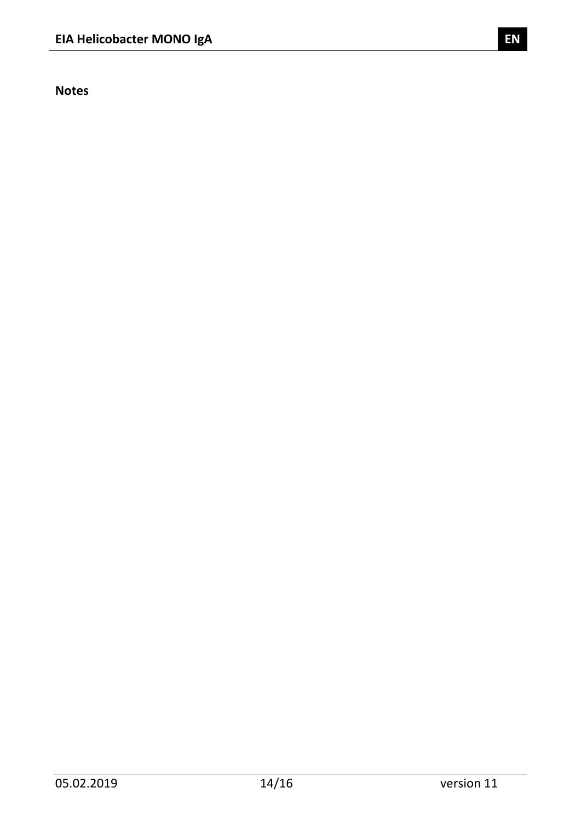**Notes**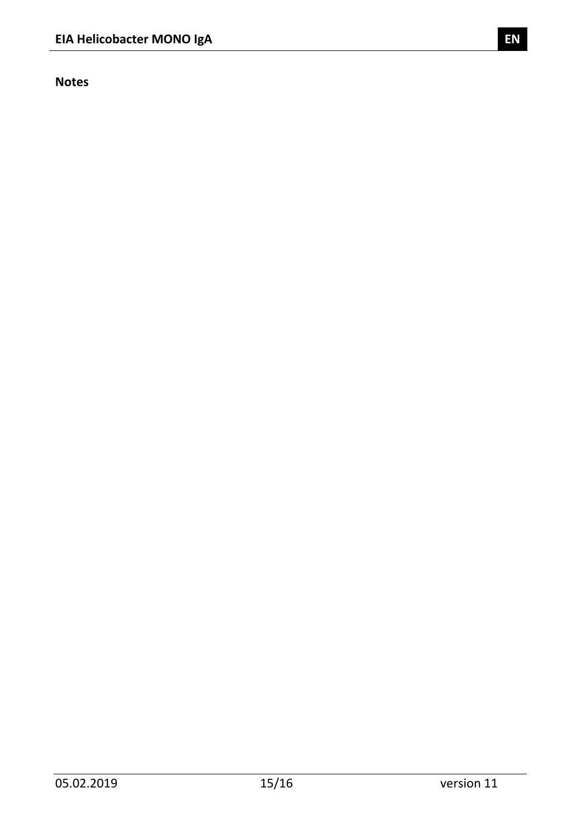**Notes**